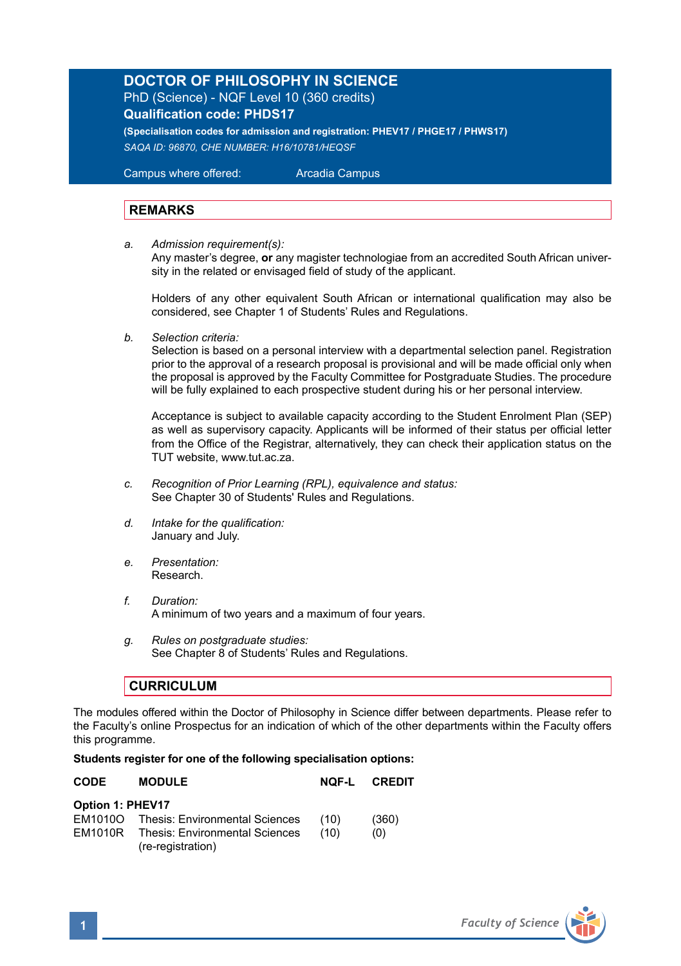## **DOCTOR OF PHILOSOPHY IN SCIENCE** PhD (Science) - NQF Level 10 (360 credits)

**Qualification code: PHDS17**

**(Specialisation codes for admission and registration: PHEV17 / PHGE17 / PHWS17)** *SAQA ID: 96870, CHE NUMBER: H16/10781/HEQSF*

Campus where offered: Arcadia Campus

## **REMARKS**

*a. Admission requirement(s):* 

 Any master's degree, **or** any magister technologiae from an accredited South African univer sity in the related or envisaged field of study of the applicant.

Holders of any other equivalent South African or international qualification may also be considered, see Chapter 1 of Students' Rules and Regulations.

*b. Selection criteria:*

Selection is based on a personal interview with a departmental selection panel. Registration prior to the approval of a research proposal is provisional and will be made official only when the proposal is approved by the Faculty Committee for Postgraduate Studies. The procedure will be fully explained to each prospective student during his or her personal interview.

Acceptance is subject to available capacity according to the Student Enrolment Plan (SEP) as well as supervisory capacity. Applicants will be informed of their status per official letter from the Office of the Registrar, alternatively, they can check their application status on the TUT website, www.tut.ac.za.

- *c. Recognition of Prior Learning (RPL), equivalence and status:* See Chapter 30 of Students' Rules and Regulations.
- *d. Intake for the qualification:* January and July.
- *e. Presentation:*  Research.
- *f. Duration:* A minimum of two years and a maximum of four years.
- *g. Rules on postgraduate studies:* See Chapter 8 of Students' Rules and Regulations.

## **CURRICULUM**

The modules offered within the Doctor of Philosophy in Science differ between departments. Please refer to the Faculty's online Prospectus for an indication of which of the other departments within the Faculty offers this programme.

## **Students register for one of the following specialisation options:**

| CODE             | <b>MODULE</b>                                                      |      | NOF-L CREDIT |
|------------------|--------------------------------------------------------------------|------|--------------|
| Option 1: PHEV17 |                                                                    |      |              |
|                  | EM1010O Thesis: Environmental Sciences                             | (10) | (360)        |
|                  | <b>EM1010R</b> Thesis: Environmental Sciences<br>(re-registration) | (10) | (0)          |